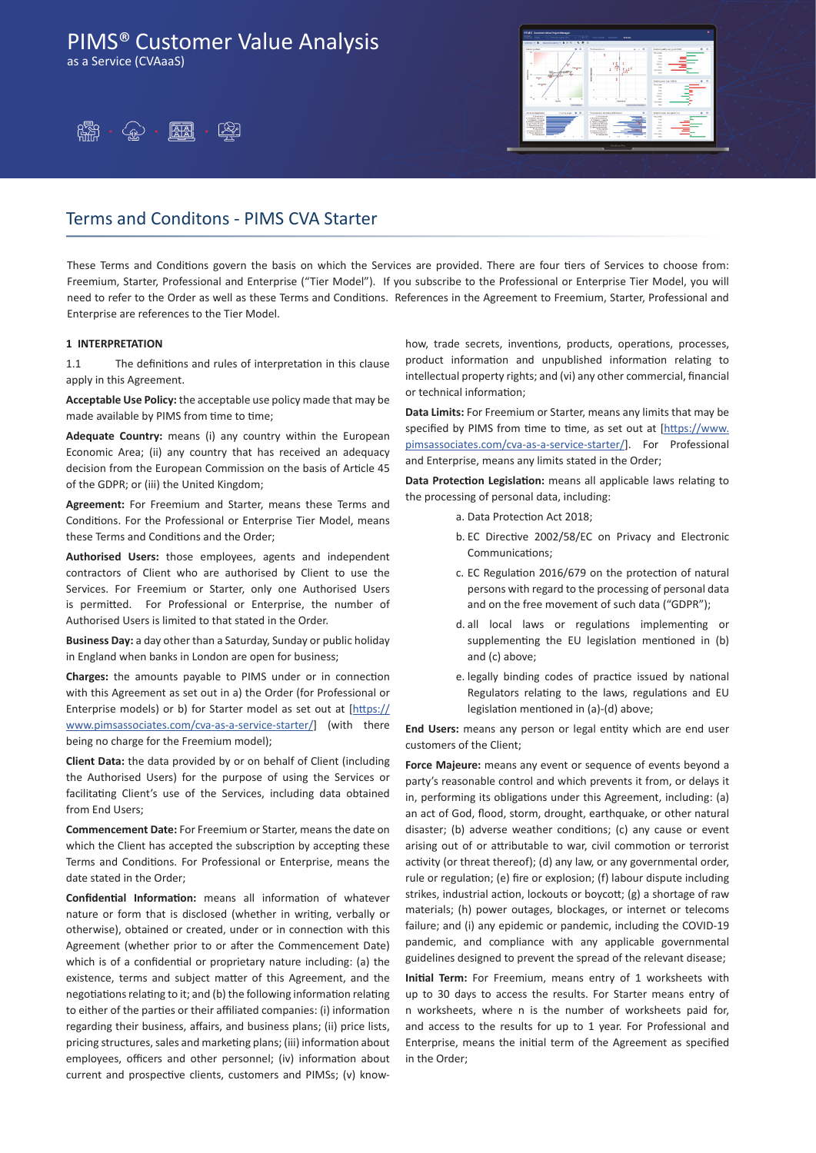as a Service (CVAaaS)





## Terms and Conditons - PIMS CVA Starter

These Terms and Conditions govern the basis on which the Services are provided. There are four tiers of Services to choose from: Freemium, Starter, Professional and Enterprise ("Tier Model"). If you subscribe to the Professional or Enterprise Tier Model, you will need to refer to the Order as well as these Terms and Conditions. References in the Agreement to Freemium, Starter, Professional and Enterprise are references to the Tier Model.

#### **1 INTERPRETATION**

1.1 The definitions and rules of interpretation in this clause apply in this Agreement.

**Acceptable Use Policy:** the acceptable use policy made that may be made available by PIMS from time to time;

**Adequate Country:** means (i) any country within the European Economic Area; (ii) any country that has received an adequacy decision from the European Commission on the basis of Article 45 of the GDPR; or (iii) the United Kingdom;

**Agreement:** For Freemium and Starter, means these Terms and Conditions. For the Professional or Enterprise Tier Model, means these Terms and Conditions and the Order;

**Authorised Users:** those employees, agents and independent contractors of Client who are authorised by Client to use the Services. For Freemium or Starter, only one Authorised Users is permitted. For Professional or Enterprise, the number of Authorised Users is limited to that stated in the Order.

**Business Day:** a day other than a Saturday, Sunday or public holiday in England when banks in London are open for business;

**Charges:** the amounts payable to PIMS under or in connection with this Agreement as set out in a) the Order (for Professional or Enterprise models) or b) for Starter model as set out at [https:// www.pimsassociates.com/cva-as-a-service-starter/] (with there being no charge for the Freemium model);

**Client Data:** the data provided by or on behalf of Client (including the Authorised Users) for the purpose of using the Services or facilitating Client's use of the Services, including data obtained from End Users;

**Commencement Date:** For Freemium or Starter, means the date on which the Client has accepted the subscription by accepting these Terms and Conditions. For Professional or Enterprise, means the date stated in the Order;

**Confidential Information:** means all information of whatever nature or form that is disclosed (whether in writing, verbally or otherwise), obtained or created, under or in connection with this Agreement (whether prior to or after the Commencement Date) which is of a confidential or proprietary nature including: (a) the existence, terms and subject matter of this Agreement, and the negotiations relating to it; and (b) the following information relating to either of the parties or their affiliated companies: (i) information regarding their business, affairs, and business plans; (ii) price lists, pricing structures, sales and marketing plans; (iii) information about employees, officers and other personnel; (iv) information about current and prospective clients, customers and PIMSs; (v) knowhow, trade secrets, inventions, products, operations, processes, product information and unpublished information relating to intellectual property rights; and (vi) any other commercial, financial or technical information;

**Data Limits:** For Freemium or Starter, means any limits that may be specified by PIMS from time to time, as set out at [https://www. pimsassociates.com/cva-as-a-service-starter/]. For Professional and Enterprise, means any limits stated in the Order;

**Data Protection Legislation:** means all applicable laws relating to the processing of personal data, including:

- a. Data Protection Act 2018;
- b. EC Directive 2002/58/EC on Privacy and Electronic Communications;
- c. EC Regulation 2016/679 on the protection of natural persons with regard to the processing of personal data and on the free movement of such data ("GDPR");
- d. all local laws or regulations implementing or supplementing the EU legislation mentioned in (b) and (c) above;
- e. legally binding codes of practice issued by national Regulators relating to the laws, regulations and EU legislation mentioned in (a)-(d) above;

**End Users:** means any person or legal entity which are end user customers of the Client;

**Force Majeure:** means any event or sequence of events beyond a party's reasonable control and which prevents it from, or delays it in, performing its obligations under this Agreement, including: (a) an act of God, flood, storm, drought, earthquake, or other natural disaster; (b) adverse weather conditions; (c) any cause or event arising out of or attributable to war, civil commotion or terrorist activity (or threat thereof); (d) any law, or any governmental order, rule or regulation; (e) fire or explosion; (f) labour dispute including strikes, industrial action, lockouts or boycott; (g) a shortage of raw materials; (h) power outages, blockages, or internet or telecoms failure; and (i) any epidemic or pandemic, including the COVID-19 pandemic, and compliance with any applicable governmental guidelines designed to prevent the spread of the relevant disease;

**Initial Term:** For Freemium, means entry of 1 worksheets with up to 30 days to access the results. For Starter means entry of n worksheets, where n is the number of worksheets paid for, and access to the results for up to 1 year. For Professional and Enterprise, means the initial term of the Agreement as specified in the Order;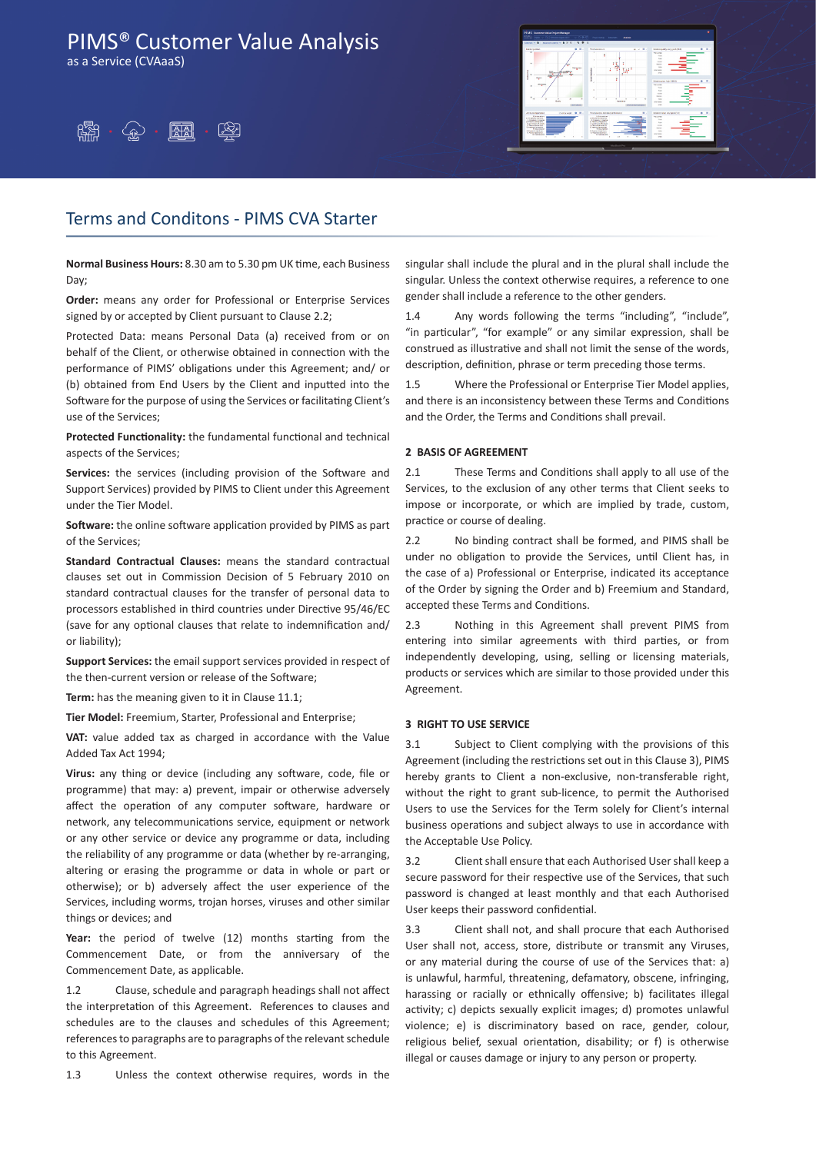as a Service (CVAaaS)





### Terms and Conditons - PIMS CVA Starter

**Normal Business Hours:** 8.30 am to 5.30 pm UK time, each Business Day;

**Order:** means any order for Professional or Enterprise Services signed by or accepted by Client pursuant to Clause 2.2;

Protected Data: means Personal Data (a) received from or on behalf of the Client, or otherwise obtained in connection with the performance of PIMS' obligations under this Agreement; and/ or (b) obtained from End Users by the Client and inputted into the Software for the purpose of using the Services or facilitating Client's use of the Services;

**Protected Functionality:** the fundamental functional and technical aspects of the Services;

**Services:** the services (including provision of the Software and Support Services) provided by PIMS to Client under this Agreement under the Tier Model.

**Software:** the online software application provided by PIMS as part of the Services;

**Standard Contractual Clauses:** means the standard contractual clauses set out in Commission Decision of 5 February 2010 on standard contractual clauses for the transfer of personal data to processors established in third countries under Directive 95/46/EC (save for any optional clauses that relate to indemnification and/ or liability);

**Support Services:** the email support services provided in respect of the then-current version or release of the Software;

**Term:** has the meaning given to it in Clause 11.1;

**Tier Model:** Freemium, Starter, Professional and Enterprise;

**VAT:** value added tax as charged in accordance with the Value Added Tax Act 1994;

**Virus:** any thing or device (including any software, code, file or programme) that may: a) prevent, impair or otherwise adversely affect the operation of any computer software, hardware or network, any telecommunications service, equipment or network or any other service or device any programme or data, including the reliability of any programme or data (whether by re-arranging, altering or erasing the programme or data in whole or part or otherwise); or b) adversely affect the user experience of the Services, including worms, trojan horses, viruses and other similar things or devices; and

**Year:** the period of twelve (12) months starting from the Commencement Date, or from the anniversary of the Commencement Date, as applicable.

1.2 Clause, schedule and paragraph headings shall not affect the interpretation of this Agreement. References to clauses and schedules are to the clauses and schedules of this Agreement; references to paragraphs are to paragraphs of the relevant schedule to this Agreement.

1.3 Unless the context otherwise requires, words in the

singular shall include the plural and in the plural shall include the singular. Unless the context otherwise requires, a reference to one gender shall include a reference to the other genders.

1.4 Any words following the terms "including", "include", "in particular", "for example" or any similar expression, shall be construed as illustrative and shall not limit the sense of the words, description, definition, phrase or term preceding those terms.

1.5 Where the Professional or Enterprise Tier Model applies, and there is an inconsistency between these Terms and Conditions and the Order, the Terms and Conditions shall prevail.

#### **2 BASIS OF AGREEMENT**

2.1 These Terms and Conditions shall apply to all use of the Services, to the exclusion of any other terms that Client seeks to impose or incorporate, or which are implied by trade, custom, practice or course of dealing.

2.2 No binding contract shall be formed, and PIMS shall be under no obligation to provide the Services, until Client has, in the case of a) Professional or Enterprise, indicated its acceptance of the Order by signing the Order and b) Freemium and Standard, accepted these Terms and Conditions.

2.3 Nothing in this Agreement shall prevent PIMS from entering into similar agreements with third parties, or from independently developing, using, selling or licensing materials, products or services which are similar to those provided under this Agreement.

### **3 RIGHT TO USE SERVICE**

3.1 Subject to Client complying with the provisions of this Agreement (including the restrictions set out in this Clause 3), PIMS hereby grants to Client a non-exclusive, non-transferable right, without the right to grant sub-licence, to permit the Authorised Users to use the Services for the Term solely for Client's internal business operations and subject always to use in accordance with the Acceptable Use Policy.

3.2 Client shall ensure that each Authorised User shall keep a secure password for their respective use of the Services, that such password is changed at least monthly and that each Authorised User keeps their password confidential.

3.3 Client shall not, and shall procure that each Authorised User shall not, access, store, distribute or transmit any Viruses, or any material during the course of use of the Services that: a) is unlawful, harmful, threatening, defamatory, obscene, infringing, harassing or racially or ethnically offensive; b) facilitates illegal activity; c) depicts sexually explicit images; d) promotes unlawful violence; e) is discriminatory based on race, gender, colour, religious belief, sexual orientation, disability; or f) is otherwise illegal or causes damage or injury to any person or property.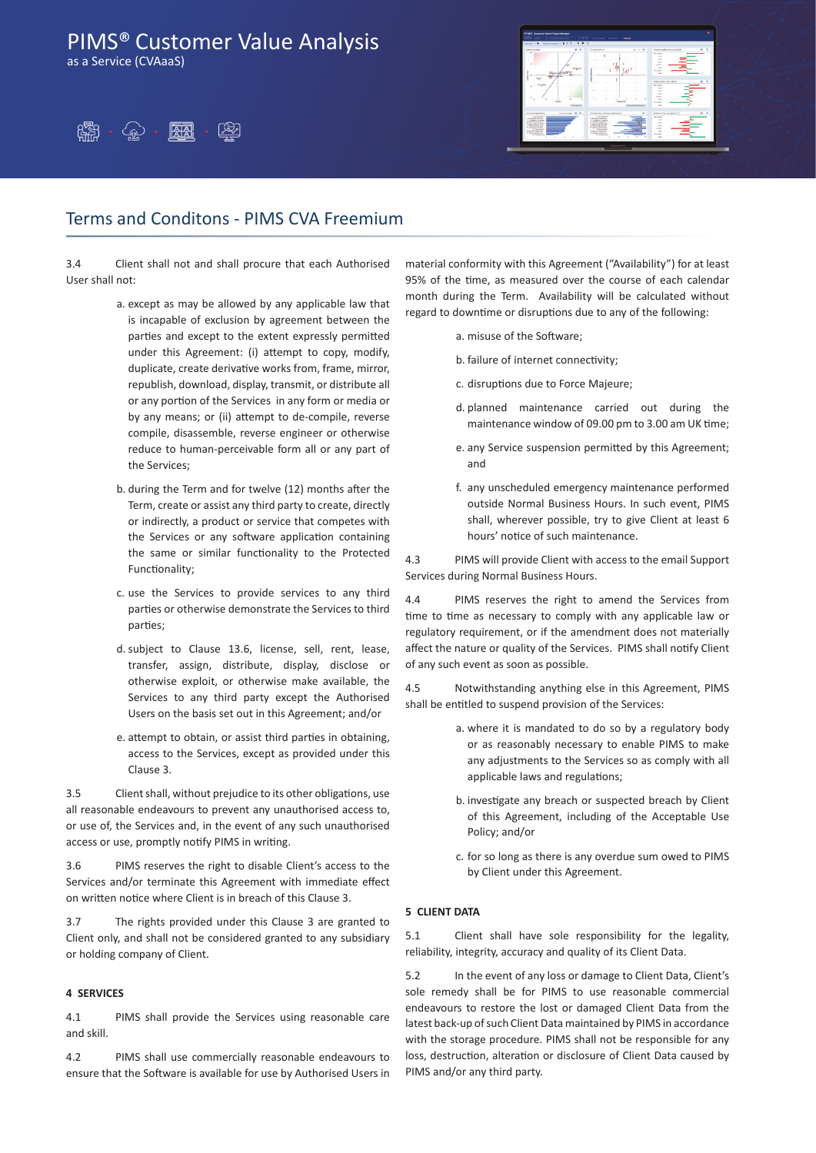as a Service (CVAaaS)





## Terms and Conditons - PIMS CVA Freemium

3.4 Client shall not and shall procure that each Authorised User shall not:

- a. except as may be allowed by any applicable law that is incapable of exclusion by agreement between the parties and except to the extent expressly permitted under this Agreement: (i) attempt to copy, modify, duplicate, create derivative works from, frame, mirror, republish, download, display, transmit, or distribute all or any portion of the Services in any form or media or by any means; or (ii) attempt to de-compile, reverse compile, disassemble, reverse engineer or otherwise reduce to human-perceivable form all or any part of the Services;
- b. during the Term and for twelve (12) months after the Term, create or assist any third party to create, directly or indirectly, a product or service that competes with the Services or any software application containing the same or similar functionality to the Protected Functionality;
- c. use the Services to provide services to any third parties or otherwise demonstrate the Services to third parties;
- d.subject to Clause 13.6, license, sell, rent, lease, transfer, assign, distribute, display, disclose or otherwise exploit, or otherwise make available, the Services to any third party except the Authorised Users on the basis set out in this Agreement; and/or
- e. attempt to obtain, or assist third parties in obtaining, access to the Services, except as provided under this Clause 3.

3.5 Client shall, without prejudice to its other obligations, use all reasonable endeavours to prevent any unauthorised access to, or use of, the Services and, in the event of any such unauthorised access or use, promptly notify PIMS in writing.

3.6 PIMS reserves the right to disable Client's access to the Services and/or terminate this Agreement with immediate effect on written notice where Client is in breach of this Clause 3.

3.7 The rights provided under this Clause 3 are granted to Client only, and shall not be considered granted to any subsidiary or holding company of Client.

#### **4 SERVICES**

4.1 PIMS shall provide the Services using reasonable care and skill.

4.2 PIMS shall use commercially reasonable endeavours to ensure that the Software is available for use by Authorised Users in material conformity with this Agreement ("Availability") for at least 95% of the time, as measured over the course of each calendar month during the Term. Availability will be calculated without regard to downtime or disruptions due to any of the following:

- a. misuse of the Software:
- b. failure of internet connectivity;
- c. disruptions due to Force Majeure;
- d. planned maintenance carried out during the maintenance window of 09.00 pm to 3.00 am UK time;
- e. any Service suspension permitted by this Agreement; and
- f. any unscheduled emergency maintenance performed outside Normal Business Hours. In such event, PIMS shall, wherever possible, try to give Client at least 6 hours' notice of such maintenance.

4.3 PIMS will provide Client with access to the email Support Services during Normal Business Hours.

4.4 PIMS reserves the right to amend the Services from time to time as necessary to comply with any applicable law or regulatory requirement, or if the amendment does not materially affect the nature or quality of the Services. PIMS shall notify Client of any such event as soon as possible.

4.5 Notwithstanding anything else in this Agreement, PIMS shall be entitled to suspend provision of the Services:

- a. where it is mandated to do so by a regulatory body or as reasonably necessary to enable PIMS to make any adjustments to the Services so as comply with all applicable laws and regulations;
- b. investigate any breach or suspected breach by Client of this Agreement, including of the Acceptable Use Policy; and/or
- c. for so long as there is any overdue sum owed to PIMS by Client under this Agreement.

### **5 CLIENT DATA**

5.1 Client shall have sole responsibility for the legality, reliability, integrity, accuracy and quality of its Client Data.

5.2 In the event of any loss or damage to Client Data, Client's sole remedy shall be for PIMS to use reasonable commercial endeavours to restore the lost or damaged Client Data from the latest back-up of such Client Data maintained by PIMS in accordance with the storage procedure. PIMS shall not be responsible for any loss, destruction, alteration or disclosure of Client Data caused by PIMS and/or any third party.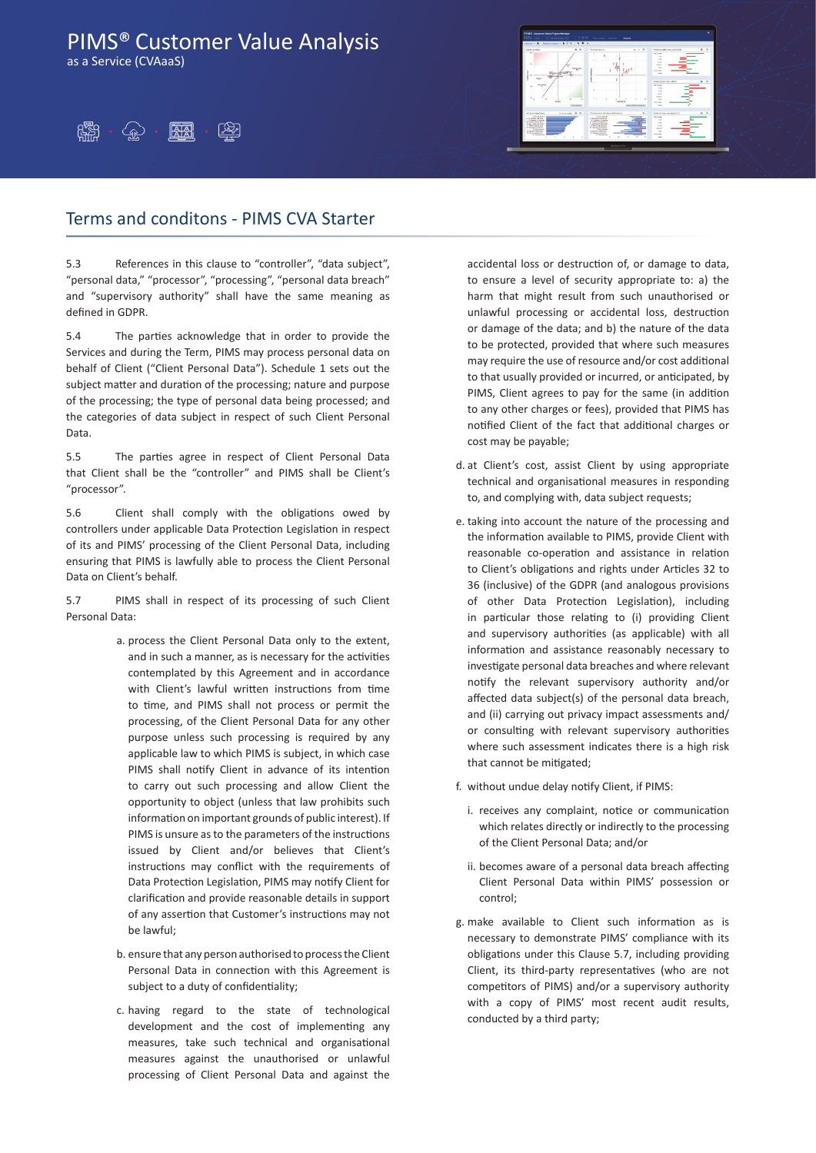as a Service (CVAaaS)





### Terms and conditons - PIMS CVA Starter

5.3 References in this clause to "controller", "data subject", "personal data," "processor", "processing", "personal data breach" and "supervisory authority" shall have the same meaning as defined in GDPR.

5.4 The parties acknowledge that in order to provide the Services and during the Term, PIMS may process personal data on behalf of Client ("Client Personal Data"). Schedule 1 sets out the subject matter and duration of the processing; nature and purpose of the processing; the type of personal data being processed; and the categories of data subject in respect of such Client Personal Data.

5.5 The parties agree in respect of Client Personal Data that Client shall be the "controller" and PIMS shall be Client's "processor".

5.6 Client shall comply with the obligations owed by controllers under applicable Data Protection Legislation in respect of its and PIMS' processing of the Client Personal Data, including ensuring that PIMS is lawfully able to process the Client Personal Data on Client's behalf.

5.7 PIMS shall in respect of its processing of such Client Personal Data:

- a. process the Client Personal Data only to the extent, and in such a manner, as is necessary for the activities contemplated by this Agreement and in accordance with Client's lawful written instructions from time to time, and PIMS shall not process or permit the processing, of the Client Personal Data for any other purpose unless such processing is required by any applicable law to which PIMS is subject, in which case PIMS shall notify Client in advance of its intention to carry out such processing and allow Client the opportunity to object (unless that law prohibits such information on important grounds of public interest). If PIMS is unsure asto the parameters of the instructions issued by Client and/or believes that Client's instructions may conflict with the requirements of Data Protection Legislation, PIMS may notify Client for clarification and provide reasonable details in support of any assertion that Customer's instructions may not be lawful;
- b. ensure that any person authorised to processthe Client Personal Data in connection with this Agreement is subject to a duty of confidentiality;
- c. having regard to the state of technological development and the cost of implementing any measures, take such technical and organisational measures against the unauthorised or unlawful processing of Client Personal Data and against the

accidental loss or destruction of, or damage to data, to ensure a level of security appropriate to: a) the harm that might result from such unauthorised or unlawful processing or accidental loss, destruction or damage of the data; and b) the nature of the data to be protected, provided that where such measures may require the use of resource and/or cost additional to that usually provided or incurred, or anticipated, by PIMS, Client agrees to pay for the same (in addition to any other charges or fees), provided that PIMS has notified Client of the fact that additional charges or cost may be payable;

- d. at Client's cost, assist Client by using appropriate technical and organisational measures in responding to, and complying with, data subject requests;
- e. taking into account the nature of the processing and the information available to PIMS, provide Client with reasonable co-operation and assistance in relation to Client's obligations and rights under Articles 32 to 36 (inclusive) of the GDPR (and analogous provisions of other Data Protection Legislation), including in particular those relating to (i) providing Client and supervisory authorities (as applicable) with all information and assistance reasonably necessary to investigate personal data breaches and where relevant notify the relevant supervisory authority and/or affected data subject(s) of the personal data breach, and (ii) carrying out privacy impact assessments and/ or consulting with relevant supervisory authorities where such assessment indicates there is a high risk that cannot be mitigated;
- f. without undue delay notify Client, if PIMS:
	- i. receives any complaint, notice or communication which relates directly or indirectly to the processing of the Client Personal Data; and/or
	- ii. becomes aware of a personal data breach affecting Client Personal Data within PIMS' possession or control;
- g. make available to Client such information as is necessary to demonstrate PIMS' compliance with its obligations under this Clause 5.7, including providing Client, its third-party representatives (who are not competitors of PIMS) and/or a supervisory authority with a copy of PIMS' most recent audit results, conducted by a third party;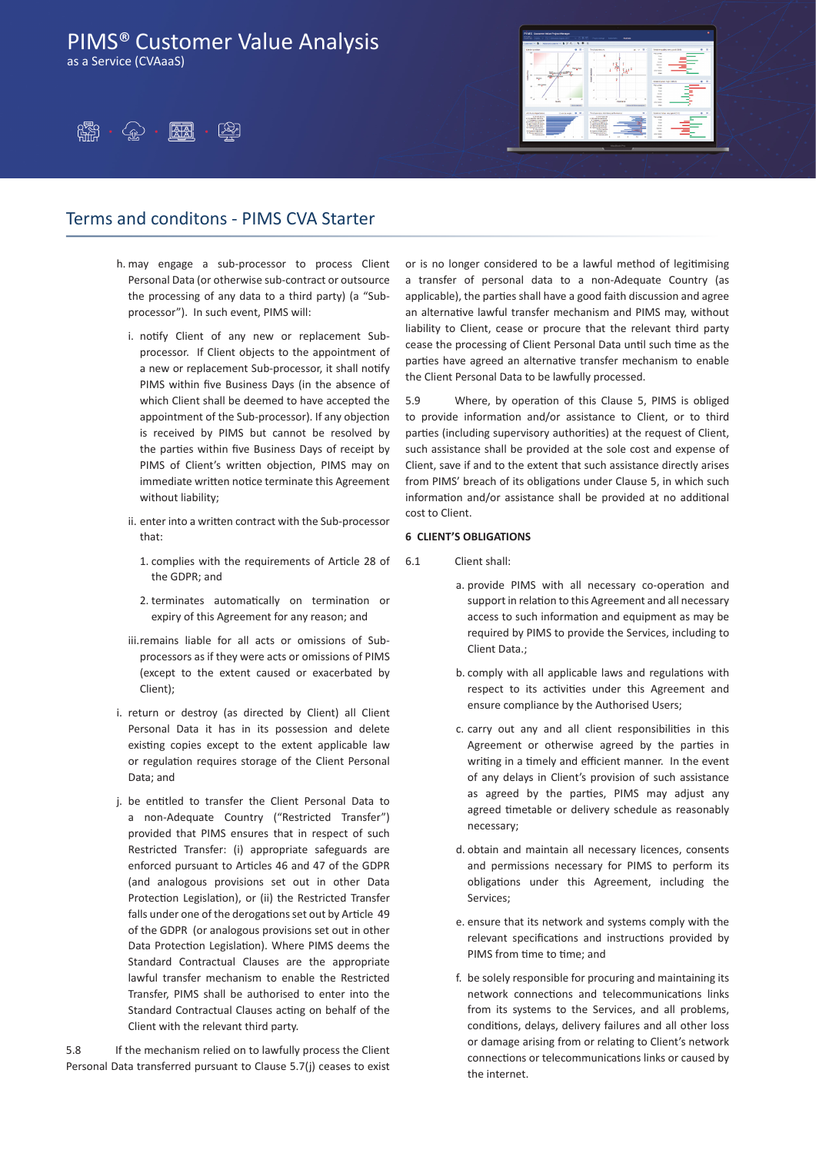as a Service (CVAaaS)





### Terms and conditons - PIMS CVA Starter

- h. may engage a sub-processor to process Client Personal Data (or otherwise sub-contract or outsource the processing of any data to a third party) (a "Subprocessor"). In such event, PIMS will:
	- i. notify Client of any new or replacement Subprocessor. If Client objects to the appointment of a new or replacement Sub-processor, it shall notify PIMS within five Business Days (in the absence of which Client shall be deemed to have accepted the appointment of the Sub-processor). If any objection is received by PIMS but cannot be resolved by the parties within five Business Days of receipt by PIMS of Client's written objection, PIMS may on immediate written notice terminate this Agreement without liability;
	- ii. enter into a written contract with the Sub-processor that:
		- 1. complies with the requirements of Article 28 of the GDPR; and
		- 2. terminates automatically on termination or expiry of this Agreement for any reason; and
	- iii.remains liable for all acts or omissions of Subprocessors as if they were acts or omissions of PIMS (except to the extent caused or exacerbated by Client);
- i. return or destroy (as directed by Client) all Client Personal Data it has in its possession and delete existing copies except to the extent applicable law or regulation requires storage of the Client Personal Data; and
- j. be entitled to transfer the Client Personal Data to a non-Adequate Country ("Restricted Transfer") provided that PIMS ensures that in respect of such Restricted Transfer: (i) appropriate safeguards are enforced pursuant to Articles 46 and 47 of the GDPR (and analogous provisions set out in other Data Protection Legislation), or (ii) the Restricted Transfer falls under one of the derogations set out by Article 49 of the GDPR (or analogous provisions set out in other Data Protection Legislation). Where PIMS deems the Standard Contractual Clauses are the appropriate lawful transfer mechanism to enable the Restricted Transfer, PIMS shall be authorised to enter into the Standard Contractual Clauses acting on behalf of the Client with the relevant third party.

5.8 If the mechanism relied on to lawfully process the Client Personal Data transferred pursuant to Clause 5.7(j) ceases to exist or is no longer considered to be a lawful method of legitimising a transfer of personal data to a non-Adequate Country (as applicable), the parties shall have a good faith discussion and agree an alternative lawful transfer mechanism and PIMS may, without liability to Client, cease or procure that the relevant third party cease the processing of Client Personal Data until such time as the parties have agreed an alternative transfer mechanism to enable the Client Personal Data to be lawfully processed.

5.9 Where, by operation of this Clause 5, PIMS is obliged to provide information and/or assistance to Client, or to third parties (including supervisory authorities) at the request of Client, such assistance shall be provided at the sole cost and expense of Client, save if and to the extent that such assistance directly arises from PIMS' breach of its obligations under Clause 5, in which such information and/or assistance shall be provided at no additional cost to Client.

### **6 CLIENT'S OBLIGATIONS**

- 6.1 Client shall:
	- a. provide PIMS with all necessary co-operation and support in relation to this Agreement and all necessary access to such information and equipment as may be required by PIMS to provide the Services, including to Client Data.;
	- b. comply with all applicable laws and regulations with respect to its activities under this Agreement and ensure compliance by the Authorised Users;
	- c. carry out any and all client responsibilities in this Agreement or otherwise agreed by the parties in writing in a timely and efficient manner. In the event of any delays in Client's provision of such assistance as agreed by the parties, PIMS may adjust any agreed timetable or delivery schedule as reasonably necessary;
	- d. obtain and maintain all necessary licences, consents and permissions necessary for PIMS to perform its obligations under this Agreement, including the Services;
	- e. ensure that its network and systems comply with the relevant specifications and instructions provided by PIMS from time to time; and
	- f. be solely responsible for procuring and maintaining its network connections and telecommunications links from its systems to the Services, and all problems, conditions, delays, delivery failures and all other loss or damage arising from or relating to Client's network connections or telecommunications links or caused by the internet.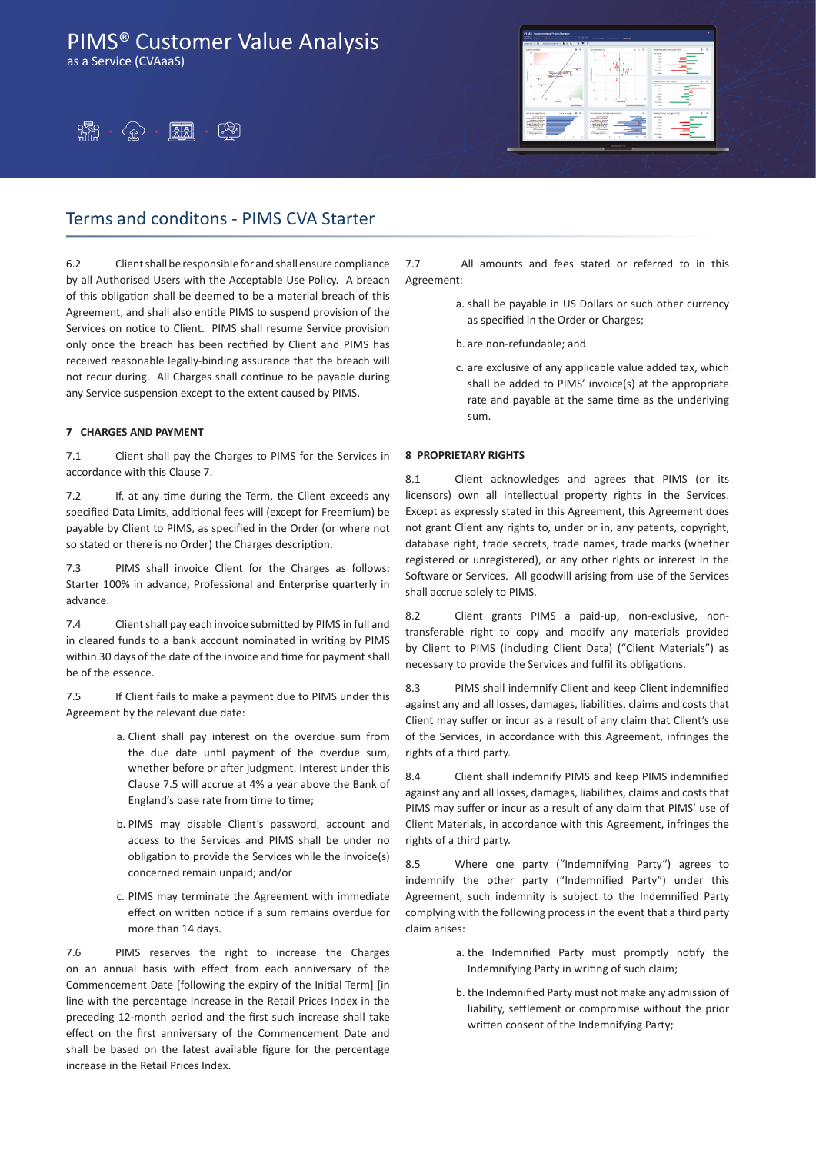as a Service (CVAaaS)





## Terms and conditons - PIMS CVA Starter

6.2 Clientshallbe responsible for andshall ensure compliance by all Authorised Users with the Acceptable Use Policy. A breach of this obligation shall be deemed to be a material breach of this Agreement, and shall also entitle PIMS to suspend provision of the Services on notice to Client. PIMS shall resume Service provision only once the breach has been rectified by Client and PIMS has received reasonable legally-binding assurance that the breach will not recur during. All Charges shall continue to be payable during any Service suspension except to the extent caused by PIMS.

### **7 CHARGES AND PAYMENT**

7.1 Client shall pay the Charges to PIMS for the Services in accordance with this Clause 7.

7.2 If, at any time during the Term, the Client exceeds any specified Data Limits, additional fees will (except for Freemium) be payable by Client to PIMS, as specified in the Order (or where not so stated or there is no Order) the Charges description.

7.3 PIMS shall invoice Client for the Charges as follows: Starter 100% in advance, Professional and Enterprise quarterly in advance.

7.4 Client shall pay each invoice submitted by PIMS in full and in cleared funds to a bank account nominated in writing by PIMS within 30 days of the date of the invoice and time for payment shall be of the essence.

7.5 If Client fails to make a payment due to PIMS under this Agreement by the relevant due date:

- a. Client shall pay interest on the overdue sum from the due date until payment of the overdue sum, whether before or after judgment. Interest under this Clause 7.5 will accrue at 4% a year above the Bank of England's base rate from time to time;
- b. PIMS may disable Client's password, account and access to the Services and PIMS shall be under no obligation to provide the Services while the invoice(s) concerned remain unpaid; and/or
- c. PIMS may terminate the Agreement with immediate effect on written notice if a sum remains overdue for more than 14 days.

7.6 PIMS reserves the right to increase the Charges on an annual basis with effect from each anniversary of the Commencement Date [following the expiry of the Initial Term] [in line with the percentage increase in the Retail Prices Index in the preceding 12-month period and the first such increase shall take effect on the first anniversary of the Commencement Date and shall be based on the latest available figure for the percentage increase in the Retail Prices Index.

7.7 All amounts and fees stated or referred to in this Agreement:

- a. shall be payable in US Dollars or such other currency as specified in the Order or Charges;
- b. are non-refundable; and
- c. are exclusive of any applicable value added tax, which shall be added to PIMS' invoice(s) at the appropriate rate and payable at the same time as the underlying sum.

### **8 PROPRIETARY RIGHTS**

8.1 Client acknowledges and agrees that PIMS (or its licensors) own all intellectual property rights in the Services. Except as expressly stated in this Agreement, this Agreement does not grant Client any rights to, under or in, any patents, copyright, database right, trade secrets, trade names, trade marks (whether registered or unregistered), or any other rights or interest in the Software or Services. All goodwill arising from use of the Services shall accrue solely to PIMS.

8.2 Client grants PIMS a paid-up, non-exclusive, nontransferable right to copy and modify any materials provided by Client to PIMS (including Client Data) ("Client Materials") as necessary to provide the Services and fulfil its obligations.

8.3 PIMS shall indemnify Client and keep Client indemnified against any and all losses, damages, liabilities, claims and costs that Client may suffer or incur as a result of any claim that Client's use of the Services, in accordance with this Agreement, infringes the rights of a third party.

8.4 Client shall indemnify PIMS and keep PIMS indemnified against any and all losses, damages, liabilities, claims and costs that PIMS may suffer or incur as a result of any claim that PIMS' use of Client Materials, in accordance with this Agreement, infringes the rights of a third party.

8.5 Where one party ("Indemnifying Party") agrees to indemnify the other party ("Indemnified Party") under this Agreement, such indemnity is subject to the Indemnified Party complying with the following process in the event that a third party claim arises:

- a. the Indemnified Party must promptly notify the Indemnifying Party in writing of such claim;
- b. the Indemnified Party must not make any admission of liability, settlement or compromise without the prior written consent of the Indemnifying Party;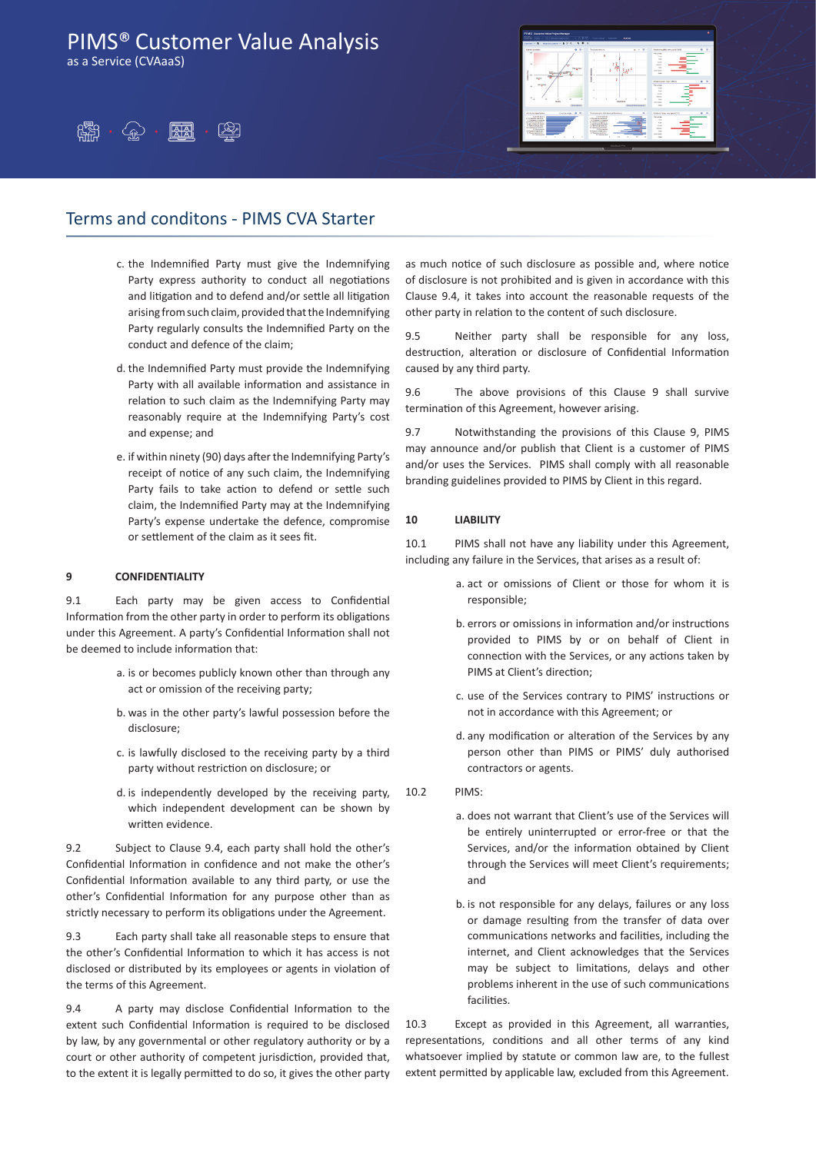as a Service (CVAaaS)





### Terms and conditons - PIMS CVA Starter

- c. the Indemnified Party must give the Indemnifying Party express authority to conduct all negotiations and litigation and to defend and/or settle all litigation arising from such claim, provided that the Indemnifying Party regularly consults the Indemnified Party on the conduct and defence of the claim;
- d. the Indemnified Party must provide the Indemnifying Party with all available information and assistance in relation to such claim as the Indemnifying Party may reasonably require at the Indemnifying Party's cost and expense; and
- e. if within ninety (90) days after the Indemnifying Party's receipt of notice of any such claim, the Indemnifying Party fails to take action to defend or settle such claim, the Indemnified Party may at the Indemnifying Party's expense undertake the defence, compromise or settlement of the claim as it sees fit.

### **9 CONFIDENTIALITY**

9.1 Each party may be given access to Confidential Information from the other party in order to perform its obligations under this Agreement. A party's Confidential Information shall not be deemed to include information that:

- a. is or becomes publicly known other than through any act or omission of the receiving party;
- b. was in the other party's lawful possession before the disclosure;
- c. is lawfully disclosed to the receiving party by a third party without restriction on disclosure; or
- d. is independently developed by the receiving party, which independent development can be shown by written evidence.

9.2 Subject to Clause 9.4, each party shall hold the other's Confidential Information in confidence and not make the other's Confidential Information available to any third party, or use the other's Confidential Information for any purpose other than as strictly necessary to perform its obligations under the Agreement.

9.3 Each party shall take all reasonable steps to ensure that the other's Confidential Information to which it has access is not disclosed or distributed by its employees or agents in violation of the terms of this Agreement.

9.4 A party may disclose Confidential Information to the extent such Confidential Information is required to be disclosed by law, by any governmental or other regulatory authority or by a court or other authority of competent jurisdiction, provided that, to the extent it is legally permitted to do so, it gives the other party as much notice of such disclosure as possible and, where notice of disclosure is not prohibited and is given in accordance with this Clause 9.4, it takes into account the reasonable requests of the other party in relation to the content of such disclosure.

9.5 Neither party shall be responsible for any loss, destruction, alteration or disclosure of Confidential Information caused by any third party.

9.6 The above provisions of this Clause 9 shall survive termination of this Agreement, however arising.

9.7 Notwithstanding the provisions of this Clause 9, PIMS may announce and/or publish that Client is a customer of PIMS and/or uses the Services. PIMS shall comply with all reasonable branding guidelines provided to PIMS by Client in this regard.

### **10 LIABILITY**

10.1 PIMS shall not have any liability under this Agreement, including any failure in the Services, that arises as a result of:

- a. act or omissions of Client or those for whom it is responsible;
- b. errors or omissions in information and/or instructions provided to PIMS by or on behalf of Client in connection with the Services, or any actions taken by PIMS at Client's direction;
- c. use of the Services contrary to PIMS' instructions or not in accordance with this Agreement; or
- d. any modification or alteration of the Services by any person other than PIMS or PIMS' duly authorised contractors or agents.
- $10.2$  PIMS:
	- a. does not warrant that Client's use of the Services will be entirely uninterrupted or error-free or that the Services, and/or the information obtained by Client through the Services will meet Client's requirements; and
	- b. is not responsible for any delays, failures or any loss or damage resulting from the transfer of data over communications networks and facilities, including the internet, and Client acknowledges that the Services may be subject to limitations, delays and other problems inherent in the use of such communications facilities.

10.3 Except as provided in this Agreement, all warranties, representations, conditions and all other terms of any kind whatsoever implied by statute or common law are, to the fullest extent permitted by applicable law, excluded from this Agreement.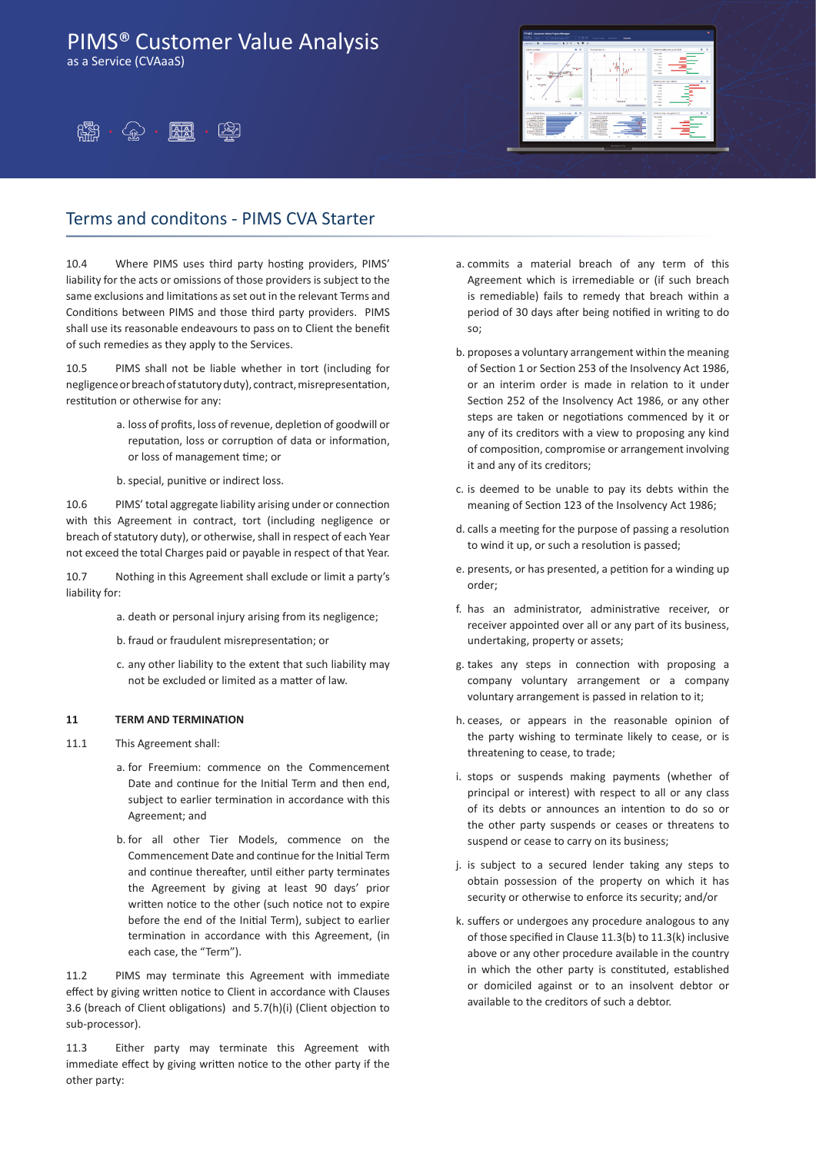as a Service (CVAaaS)





## Terms and conditons - PIMS CVA Starter

10.4 Where PIMS uses third party hosting providers, PIMS' liability for the acts or omissions of those providers is subject to the same exclusions and limitations asset out in the relevant Terms and Conditions between PIMS and those third party providers. PIMS shall use its reasonable endeavours to pass on to Client the benefit of such remedies as they apply to the Services.

10.5 PIMS shall not be liable whether in tort (including for negligenceorbreachofstatutoryduty), contract,misrepresentation, restitution or otherwise for any:

- a. loss of profits, loss of revenue, depletion of goodwill or reputation, loss or corruption of data or information, or loss of management time; or
- b. special, punitive or indirect loss.

10.6 PIMS' total aggregate liability arising under or connection with this Agreement in contract, tort (including negligence or breach of statutory duty), or otherwise, shall in respect of each Year not exceed the total Charges paid or payable in respect of that Year.

10.7 Nothing in this Agreement shall exclude or limit a party's liability for:

- a. death or personal injury arising from its negligence;
- b. fraud or fraudulent misrepresentation; or
- c. any other liability to the extent that such liability may not be excluded or limited as a matter of law.

#### **11 TERM AND TERMINATION**

- 11.1 This Agreement shall:
	- a. for Freemium: commence on the Commencement Date and continue for the Initial Term and then end, subject to earlier termination in accordance with this Agreement; and
	- b. for all other Tier Models, commence on the Commencement Date and continue for the Initial Term and continue thereafter, until either party terminates the Agreement by giving at least 90 days' prior written notice to the other (such notice not to expire before the end of the Initial Term), subject to earlier termination in accordance with this Agreement, (in each case, the "Term").

11.2 PIMS may terminate this Agreement with immediate effect by giving written notice to Client in accordance with Clauses 3.6 (breach of Client obligations) and 5.7(h)(i) (Client objection to sub-processor).

11.3 Either party may terminate this Agreement with immediate effect by giving written notice to the other party if the other party:

- a. commits a material breach of any term of this Agreement which is irremediable or (if such breach is remediable) fails to remedy that breach within a period of 30 days after being notified in writing to do so;
- b. proposes a voluntary arrangement within the meaning of Section 1 or Section 253 of the Insolvency Act 1986, or an interim order is made in relation to it under Section 252 of the Insolvency Act 1986, or any other steps are taken or negotiations commenced by it or any of its creditors with a view to proposing any kind of composition, compromise or arrangement involving it and any of its creditors;
- c. is deemed to be unable to pay its debts within the meaning of Section 123 of the Insolvency Act 1986;
- d. calls a meeting for the purpose of passing a resolution to wind it up, or such a resolution is passed;
- e. presents, or has presented, a petition for a winding up order;
- f. has an administrator, administrative receiver, or receiver appointed over all or any part of its business, undertaking, property or assets;
- g. takes any steps in connection with proposing a company voluntary arrangement or a company voluntary arrangement is passed in relation to it;
- h. ceases, or appears in the reasonable opinion of the party wishing to terminate likely to cease, or is threatening to cease, to trade;
- i. stops or suspends making payments (whether of principal or interest) with respect to all or any class of its debts or announces an intention to do so or the other party suspends or ceases or threatens to suspend or cease to carry on its business;
- j. is subject to a secured lender taking any steps to obtain possession of the property on which it has security or otherwise to enforce its security; and/or
- k. suffers or undergoes any procedure analogous to any of those specified in Clause 11.3(b) to 11.3(k) inclusive above or any other procedure available in the country in which the other party is constituted, established or domiciled against or to an insolvent debtor or available to the creditors of such a debtor.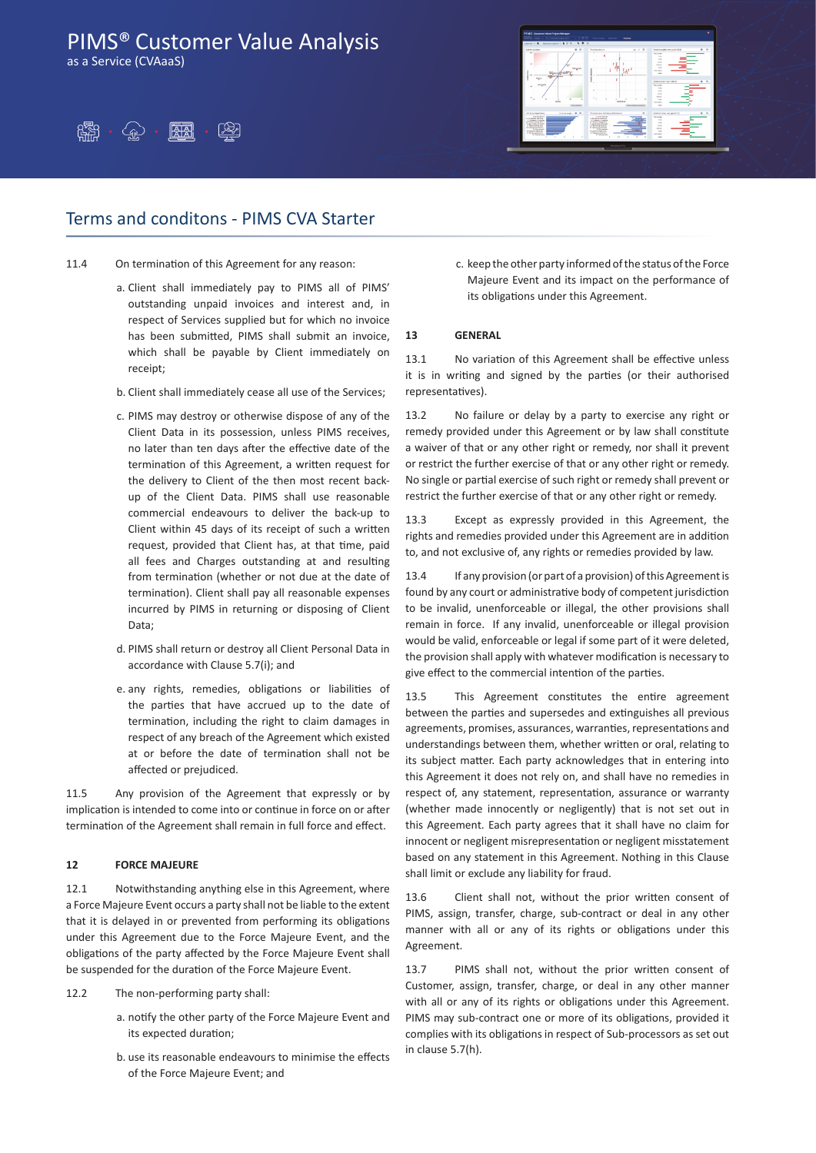as a Service (CVAaaS)



### Terms and conditons - PIMS CVA Starter

11.4 On termination of this Agreement for any reason:

- a. Client shall immediately pay to PIMS all of PIMS' outstanding unpaid invoices and interest and, in respect of Services supplied but for which no invoice has been submitted, PIMS shall submit an invoice, which shall be payable by Client immediately on receipt;
- b. Client shall immediately cease all use of the Services;
- c. PIMS may destroy or otherwise dispose of any of the Client Data in its possession, unless PIMS receives, no later than ten days after the effective date of the termination of this Agreement, a written request for the delivery to Client of the then most recent backup of the Client Data. PIMS shall use reasonable commercial endeavours to deliver the back-up to Client within 45 days of its receipt of such a written request, provided that Client has, at that time, paid all fees and Charges outstanding at and resulting from termination (whether or not due at the date of termination). Client shall pay all reasonable expenses incurred by PIMS in returning or disposing of Client Data;
- d. PIMS shall return or destroy all Client Personal Data in accordance with Clause 5.7(i); and
- e. any rights, remedies, obligations or liabilities of the parties that have accrued up to the date of termination, including the right to claim damages in respect of any breach of the Agreement which existed at or before the date of termination shall not be affected or prejudiced.

11.5 Any provision of the Agreement that expressly or by implication is intended to come into or continue in force on or after termination of the Agreement shall remain in full force and effect.

### **12 FORCE MAJEURE**

12.1 Notwithstanding anything else in this Agreement, where a Force Majeure Event occurs a party shall not be liable to the extent that it is delayed in or prevented from performing its obligations under this Agreement due to the Force Majeure Event, and the obligations of the party affected by the Force Majeure Event shall be suspended for the duration of the Force Majeure Event.

- 12.2 The non-performing party shall:
	- a. notify the other party of the Force Majeure Event and its expected duration;
	- b. use its reasonable endeavours to minimise the effects of the Force Majeure Event; and



c. keep the other party informed of the status of the Force Majeure Event and its impact on the performance of its obligations under this Agreement.

### **13 GENERAL**

13.1 No variation of this Agreement shall be effective unless it is in writing and signed by the parties (or their authorised representatives).

13.2 No failure or delay by a party to exercise any right or remedy provided under this Agreement or by law shall constitute a waiver of that or any other right or remedy, nor shall it prevent or restrict the further exercise of that or any other right or remedy. No single or partial exercise of such right or remedy shall prevent or restrict the further exercise of that or any other right or remedy.

13.3 Except as expressly provided in this Agreement, the rights and remedies provided under this Agreement are in addition to, and not exclusive of, any rights or remedies provided by law.

13.4 If any provision (or part of a provision) of this Agreement is found by any court or administrative body of competent jurisdiction to be invalid, unenforceable or illegal, the other provisions shall remain in force. If any invalid, unenforceable or illegal provision would be valid, enforceable or legal if some part of it were deleted, the provision shall apply with whatever modification is necessary to give effect to the commercial intention of the parties.

13.5 This Agreement constitutes the entire agreement between the parties and supersedes and extinguishes all previous agreements, promises, assurances, warranties, representations and understandings between them, whether written or oral, relating to its subject matter. Each party acknowledges that in entering into this Agreement it does not rely on, and shall have no remedies in respect of, any statement, representation, assurance or warranty (whether made innocently or negligently) that is not set out in this Agreement. Each party agrees that it shall have no claim for innocent or negligent misrepresentation or negligent misstatement based on any statement in this Agreement. Nothing in this Clause shall limit or exclude any liability for fraud.

13.6 Client shall not, without the prior written consent of PIMS, assign, transfer, charge, sub-contract or deal in any other manner with all or any of its rights or obligations under this Agreement.

13.7 PIMS shall not, without the prior written consent of Customer, assign, transfer, charge, or deal in any other manner with all or any of its rights or obligations under this Agreement. PIMS may sub-contract one or more of its obligations, provided it complies with its obligations in respect of Sub-processors as set out in clause 5.7(h).